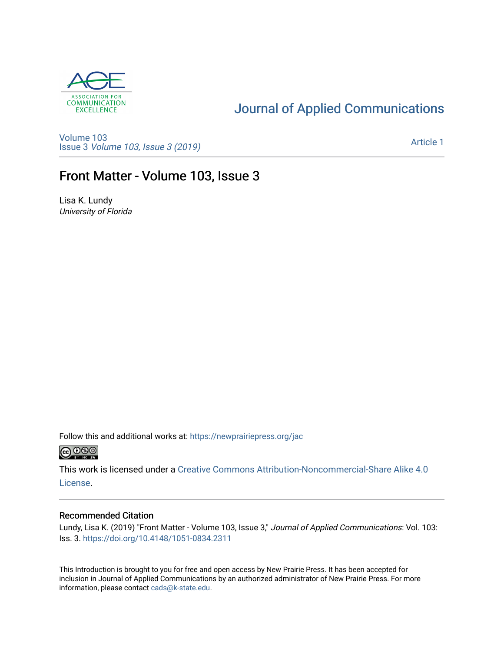

### [Journal of Applied Communications](https://newprairiepress.org/jac)

[Volume 103](https://newprairiepress.org/jac/vol103) Issue 3 [Volume 103, Issue 3 \(2019\)](https://newprairiepress.org/jac/vol103/iss3)

[Article 1](https://newprairiepress.org/jac/vol103/iss3/1) 

#### Front Matter - Volume 103, Issue 3

Lisa K. Lundy University of Florida

Follow this and additional works at: [https://newprairiepress.org/jac](https://newprairiepress.org/jac?utm_source=newprairiepress.org%2Fjac%2Fvol103%2Fiss3%2F1&utm_medium=PDF&utm_campaign=PDFCoverPages)  $\bigcirc$  0.90

This work is licensed under a [Creative Commons Attribution-Noncommercial-Share Alike 4.0](https://creativecommons.org/licenses/by-nc-sa/4.0/) [License.](https://creativecommons.org/licenses/by-nc-sa/4.0/)

#### Recommended Citation

Lundy, Lisa K. (2019) "Front Matter - Volume 103, Issue 3," Journal of Applied Communications: Vol. 103: Iss. 3. <https://doi.org/10.4148/1051-0834.2311>

This Introduction is brought to you for free and open access by New Prairie Press. It has been accepted for inclusion in Journal of Applied Communications by an authorized administrator of New Prairie Press. For more information, please contact [cads@k-state.edu](mailto:cads@k-state.edu).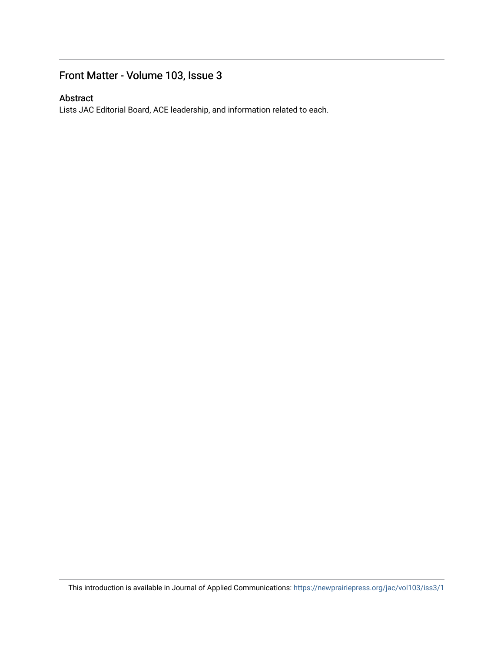#### Front Matter - Volume 103, Issue 3

#### Abstract

Lists JAC Editorial Board, ACE leadership, and information related to each.

This introduction is available in Journal of Applied Communications: <https://newprairiepress.org/jac/vol103/iss3/1>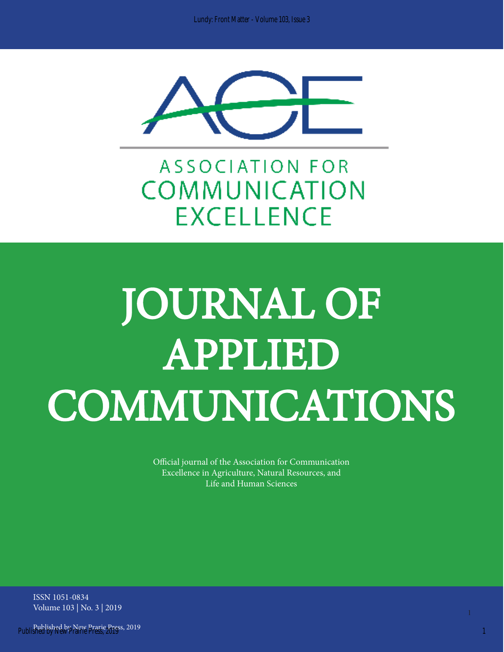

**ASSOCIATION FOR COMMUNICATION EXCELLENCE** 

# JOURNAL OF APPLIED COMMUNICATIONS

Official journal of the Association for Communication Excellence in Agriculture, Natural Resources, and Life and Human Sciences

ISSN 1051-0834 Volume 103 | No. 3 | 2019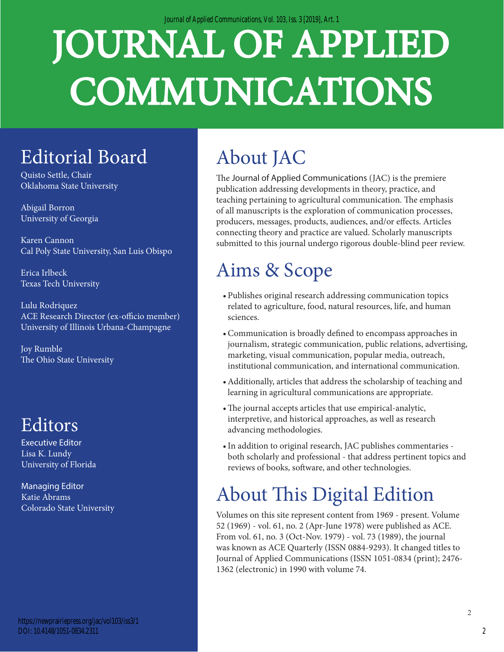*Journal of Applied Communications, Vol. 103, Iss. 3 [2019], Art. 1*

# JOURNAL OF APPLIED COMMUNICATIONS

## Editorial Board

Quisto Settle, Chair Oklahoma State University

Abigail Borron University of Georgia

Karen Cannon Cal Poly State University, San Luis Obispo

Erica Irlbeck Texas Tech University

Lulu Rodriquez ACE Research Director (ex-officio member) University of Illinois Urbana-Champagne

Joy Rumble The Ohio State University

## Editors

Executive Editor Lisa K. Lundy University of Florida

Managing Editor Katie Abrams Colorado State University

#### https://newprairiepress.org/jac/vol103/iss3/1 DOI: 10.4148/1051-0834.2311

# About JAC

The Journal of Applied Communications (JAC) is the premiere publication addressing developments in theory, practice, and teaching pertaining to agricultural communication. The emphasis of all manuscripts is the exploration of communication processes, producers, messages, products, audiences, and/or effects. Articles connecting theory and practice are valued. Scholarly manuscripts submitted to this journal undergo rigorous double-blind peer review.

# Aims & Scope

- Publishes original research addressing communication topics related to agriculture, food, natural resources, life, and human sciences.
- •Communication is broadly defined to encompass approaches in journalism, strategic communication, public relations, advertising, marketing, visual communication, popular media, outreach, institutional communication, and international communication.
- •Additionally, articles that address the scholarship of teaching and learning in agricultural communications are appropriate.
- •The journal accepts articles that use empirical-analytic, interpretive, and historical approaches, as well as research advancing methodologies.
- •In addition to original research, JAC publishes commentaries both scholarly and professional - that address pertinent topics and reviews of books, software, and other technologies.

# About This Digital Edition

Volumes on this site represent content from 1969 - present. Volume 52 (1969) - vol. 61, no. 2 (Apr-June 1978) were published as ACE. From vol. 61, no. 3 (Oct-Nov. 1979) - vol. 73 (1989), the journal was known as ACE Quarterly (ISSN 0884-9293). It changed titles to Journal of Applied Communications (ISSN 1051-0834 (print); 2476- 1362 (electronic) in 1990 with volume 74.

2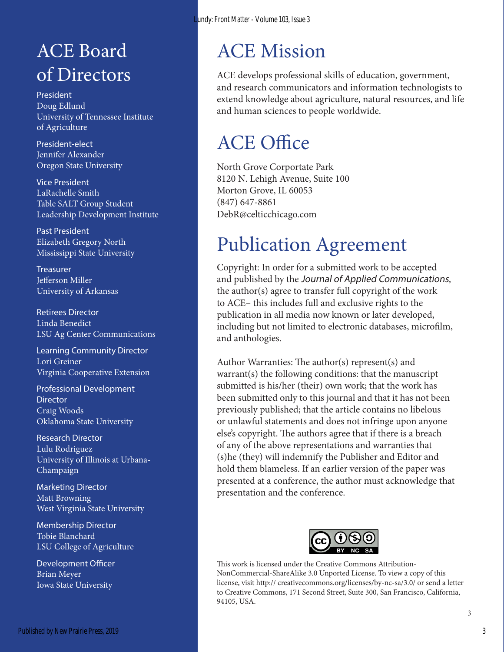## ACE Board of Directors

President Doug Edlund University of Tennessee Institute of Agriculture

President-elect Jennifer Alexander Oregon State University

Vice President LaRachelle Smith Table SALT Group Student Leadership Development Institute

Past President Elizabeth Gregory North Mississippi State University

**Treasurer** Jefferson Miller University of Arkansas

Retirees Director Linda Benedict LSU Ag Center Communications

Learning Community Director Lori Greiner Virginia Cooperative Extension

Professional Development **Director** Craig Woods Oklahoma State University

Research Director Lulu Rodriguez University of Illinois at Urbana-Champaign

Marketing Director Matt Browning West Virginia State University

Membership Director Tobie Blanchard LSU College of Agriculture

Development Officer Brian Meyer Iowa State University

## ACE Mission

ACE develops professional skills of education, government, and research communicators and information technologists to extend knowledge about agriculture, natural resources, and life and human sciences to people worldwide.

## ACE Office

North Grove Corportate Park 8120 N. Lehigh Avenue, Suite 100 Morton Grove, IL 60053 (847) 647-8861 DebR@celticchicago.com

## Publication Agreement

Copyright: In order for a submitted work to be accepted and published by the Journal of Applied Communications, the author(s) agree to transfer full copyright of the work to ACE– this includes full and exclusive rights to the publication in all media now known or later developed, including but not limited to electronic databases, microfilm, and anthologies.

Author Warranties: The author(s) represent(s) and warrant(s) the following conditions: that the manuscript submitted is his/her (their) own work; that the work has been submitted only to this journal and that it has not been previously published; that the article contains no libelous or unlawful statements and does not infringe upon anyone else's copyright. The authors agree that if there is a breach of any of the above representations and warranties that (s)he (they) will indemnify the Publisher and Editor and hold them blameless. If an earlier version of the paper was presented at a conference, the author must acknowledge that presentation and the conference.



This work is licensed under the Creative Commons Attribution-NonCommercial-ShareAlike 3.0 Unported License. To view a copy of this license, visit http:// creativecommons.org/licenses/by-nc-sa/3.0/ or send a letter to Creative Commons, 171 Second Street, Suite 300, San Francisco, California, 94105, USA.

3